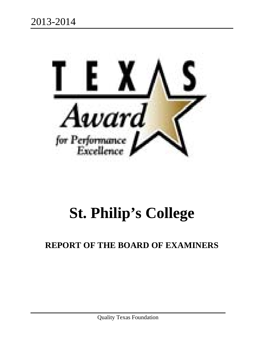

# **St. Philip's College**

# **REPORT OF THE BOARD OF EXAMINERS**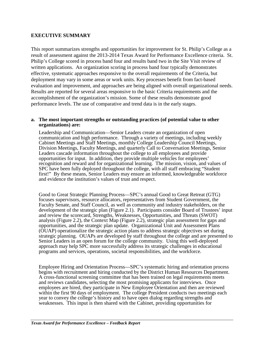#### **EXECUTIVE SUMMARY**

This report summarizes strengths and opportunities for improvement for St. Philip's College as a result of assessment against the 2013-2014 Texas Award for Performance Excellence criteria. St. Philip's College scored in process band four and results band two in the Site Visit review of written applications. An organization scoring in process band four typically demonstrates effective, systematic approaches responsive to the overall requirements of the Criteria, but deployment may vary in some areas or work units. Key processes benefit from fact-based evaluation and improvement, and approaches are being aligned with overall organizational needs. Results are reported for several areas responsive to the basic Criteria requirements and the accomplishment of the organization's mission. Some of these results demonstrate good performance levels. The use of comparative and trend data is in the early stages.

#### **a. The most important strengths or outstanding practices (of potential value to other organizations) are:**

Leadership and Communication—Senior Leaders create an organization of open communication and high performance. Through a variety of meetings, including weekly Cabinet Meetings and Staff Meetings, monthly College Leadership Council Meetings, Division Meetings, Faculty Meetings, and quarterly Call to Conversation Meetings, Senior Leaders cascade information throughout the college to all employees and provide opportunities for input. In addition, they provide multiple vehicles for employees' recognition and reward and for organizational learning. The mission, vision, and values of SPC have been fully deployed throughout the college, with all staff embracing "Student first!" By these means, Senior Leaders may ensure an informed, knowledgeable workforce and evidence the institution's values of trust and respect.

Good to Great Strategic Planning Process—SPC's annual Good to Great Retreat (GTG) focuses supervisors, resource allocators, representatives from Student Government, the Faculty Senate, and Staff Council, as well as community and industry stakeholders, on the development of the strategic plan (Figure 2.1). Participants consider Board of Trustees' input and review the scorecard, Strengths, Weaknesses, Opportunities, and Threats (SWOT) analysis (Figure 2.2), the Context Map (Figure 2.2), strategic plan assessment for gaps and opportunities, and the strategic plan update. Organizational Unit and Assessment Plans (OUAP) operationalize the strategic action plans to address strategic objectives set during strategic planning. OUAPs are developed by staff throughout the college and are presented to Senior Leaders in an open forum for the college community. Using this well-deployed approach may help SPC more successfully address its strategic challenges in educational programs and services, operations, societal responsibilities, and the workforce.

Employee Hiring and Orientation Process—SPC's systematic hiring and orientation process A cross-functional screening committee that has been trained on legal requirements meets and reviews candidates, selecting the most promising applicants for interviews. Once employees are hired, they participate in New Employee Orientation and then are reviewed within the first 90 days of employment. The college President conducts two meetings each year to convey the college's history and to have open dialog regarding strengths and weaknesses. This input is then shared with the Cabinet, providing opportunities for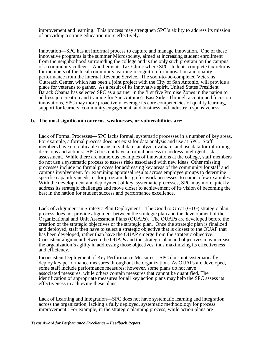improvement and learning. This process may strengthen SPC's ability to address its mission of providing a strong education more effectively.

Innovation—SPC has an informal process to capture and manage innovation. One of these innovative programs is the summer Microsociety, aimed at increasing student enrollment from the neighborhood surrounding the college and is the only such program on the campus of a community college. Another is its Tax Clinic where SPC students complete tax returns for members of the local community, earning recognition for innovation and quality performance from the Internal Revenue Service. The soon-to-be-completed Veterans Outreach Center, which has been a joint project with the City of San Antonio, will provide a place for veterans to gather. As a result of its innovative spirit, United States President Barack Obama has selected SPC as a partner in the first five Promise Zones in the nation to address job creation and training for San Antonio's East Side. Through a continued focus on innovations, SPC may more proactively leverage its core competencies of quality learning, support for learners, community engagement, and business and industry responsiveness.

#### **b. The most significant concerns, weaknesses, or vulnerabilities are:**

Lack of Formal Processes—SPC lacks formal, systematic processes in a number of key areas. For example, a formal process does not exist for data analysis and use at SPC. Staff members have no replicable means to validate, analyze, evaluate, and use data for informing decisions and actions. SPC does not have a formal process to address intelligent risk assessment. While there are numerous examples of innovations at the college, staff members do not use a systematic process to assess risks associated with new ideas. Other missing processes include no formal process for addressing key areas of the community for staff and campus involvement, for examining appraisal results across employee groups to determine specific capability needs, or for program design for work processes, to name a few examples. With the development and deployment of key, systematic processes, SPC may more quickly address its strategic challenges and move closer to achievement of its vision of becoming the best in the nation for student success and performance excellence.

Lack of Alignment in Strategic Plan Deployment—The Good to Great (GTG) strategic plan process does not provide alignment between the strategic plan and the development of the Organizational and Unit Assessment Plans (OUAPs). The OUAPs are developed before the creation of the strategic objectives or the strategic plan. Once the strategic plan is finalized and deployed, staff then have to select a strategic objective that is closest to the OUAP that has been developed, rather than have the OUAP emerge from the strategic objective. Consistent alignment between the OUAPs and the strategic plan and objectives may increase the organization's agility in addressing those objectives, thus maximizing its effectiveness and efficiency.

Inconsistent Deployment of Key Performance Measures—SPC does not systematically deploy key performance measures throughout the organization. As OUAPs are developed, some staff include performance measures; however, some plans do not have associated measures, while others contain measures that cannot be quantified. The identification of appropriate measures for all key action plans may help the SPC assess its effectiveness in achieving these plans.

Lack of Learning and Integration—SPC does not have systematic learning and integration across the organization, lacking a fully deployed, systematic methodology for process improvement. For example, in the strategic planning process, while action plans are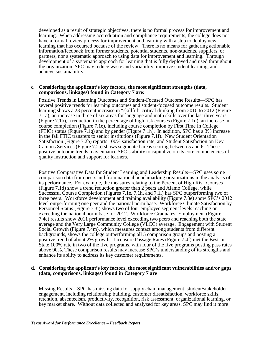developed as a result of strategic objectives, there is no formal process for improvement and learning. When addressing accreditation and compliance requirements, the college does not have a formal review process for improvement and learning with a step to deploy new learning that has occurred because of the review. There is no means for gathering actionable information/feedback from former students, potential students, non-students, suppliers, or partners, nor a systematic approach to using data for improvement and learning. Through development of a systematic approach for learning that is fully deployed and used throughout the organization, SPC may reduce waste and variability, improve student learning, and achieve sustainability.

#### **c. Considering the applicant's key factors, the most significant strengths (data, comparisons, linkages) found in Category 7 are:**

Positive Trends in Learning Outcomes and Student-Focused Outcome Results—SPC has several positive trends for learning outcomes and student-focused outcome results. Student learning shows a 23 percent increase in "skillful" critical thinking from 2010 to 2012 (Figure 7.1a), an increase in three of six areas for language and math skills over the last three years (Figure 7.1b), a reduction in the percentage of high risk courses (Figure 7.1d), an increase in course completion (Figure 7.1e), including course completion by First Time In College (FTIC) status (Figure 7.1g) and by gender (Figure 7.1h). In addition, SPC has a 3% increase in the fall FTIC transfers to senior institutions (Figure 7.1f). New Student Orientation Satisfaction (Figure 7.2b) reports 100% satisfaction rate, and Student Satisfaction on Key Campus Services (Figure 7.2a) shows segmented areas scoring between 5 and 6. These positive outcome trends may enhance SPC's ability to capitalize on its core competencies of quality instruction and support for learners.

Positive Comparative Data for Student Learning and Leadership Results—SPC uses some comparison data from peers and from national benchmarking organizations in the analysis of its performance. For example, the measures relating to the Percent of High Risk Courses (Figure 7.1d) show a trend reduction greater than 2 peers and Alamo College, while Successful Course Completion (Figures 7.1e, 7.1h, and 7.1i) has SPC outperforming two of three peers. Workforce development and training availability (Figure 7.3e) show SPC's 2012 level outperforming one peer and the national norm base. Workforce Climate Satisfaction by Personnel Status (Figure 7.3j) shows two of four employee segment levels reaching or exceeding the national norm base for 2012. Workforce Graduates' Employment (Figure 7.4e) results show 2011 performance level exceeding two peers and reaching both the state average and the Very Large Community College (VLCC) average. Engagement with Student Social Growth (Figure 7.4m), which measures contact among students from different backgrounds, shows the college outperforming all 5 comparison groups and posting a positive trend of about 2% growth. Licensure Passage Rates (Figure 7.4f) met the Best-in-State 100% rate in two of the five programs, with four of the five programs posting pass rates above 90%. These comparison results may increase SPC's understanding of its strengths and enhance its ability to address its key customer requirements.

#### **d. Considering the applicant's key factors, the most significant vulnerabilities and/or gaps (data, comparisons, linkages) found in Category 7 are**

Missing Results—SPC has missing data for supply chain management, student/stakeholder engagement, including relationship building, customer dissatisfaction, workforce skills, retention, absenteeism, productivity, recognition, risk assessment, organizational learning, or key market share. Without data collected and analyzed for key areas, SPC may find it more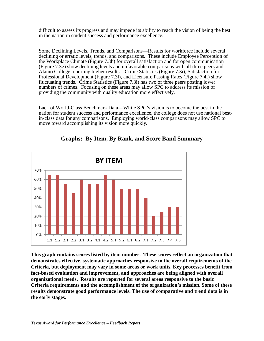difficult to assess its progress and may impede its ability to reach the vision of being the best in the nation in student success and performance excellence.

Some Declining Levels, Trends, and Comparisons—Results for workforce include several declining or erratic levels, trends, and comparisons. These include Employee Perception of the Workplace Climate (Figure 7.3h) for overall satisfaction and for open communication (Figure 7.3g) show declining levels and unfavorable comparisons with all three peers and Alamo College reporting higher results. Crime Statistics (Figure 7.3i), Satisfaction for Professional Development (Figure 7.3l), and Licensure Passing Rates (Figure 7.4f) show fluctuating trends. Crime Statistics (Figure 7.3i) has two of three peers posting lower numbers of crimes. Focusing on these areas may allow SPC to address its mission of providing the community with quality education more effectively.

Lack of World-Class Benchmark Data—While SPC's vision is to become the best in the nation for student success and performance excellence, the college does not use national bestin-class data for any comparisons. Employing world-class comparisons may allow SPC to move toward accomplishing its vision more quickly.



**Graphs: By Item, By Rank, and Score Band Summary**

**This graph contains scores listed by item number. These scores reflect an organization that demonstrates effective, systematic approaches responsive to the overall requirements of the Criteria, but deployment may vary in some areas or work units. Key processes benefit from fact-based evaluation and improvement, and approaches are being aligned with overall organizational needs. Results are reported for several areas responsive to the basic Criteria requirements and the accomplishment of the organization's mission. Some of these results demonstrate good performance levels. The use of comparative and trend data is in the early stages.**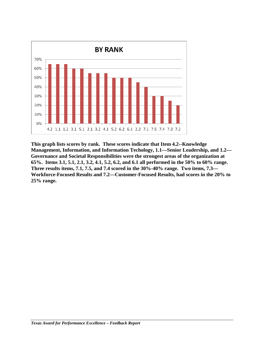

**This graph lists scores by rank. These scores indicate that Item 4.2--Knowledge Management, Information, and Information Techology, 1.1—Senior Leadership, and 1.2— Governance and Societal Responsibilities were the strongest areas of the organization at 65%. Items 3.1, 5.1, 2.1, 3.2, 4.1, 5.2, 6.2, and 6.1 all performed in the 50% to 60% range. Three results items, 7.1, 7.5, and 7.4 scored in the 30%-40% range. Two items, 7.3— Workforce-Focused Results and 7.2—Customer-Focused Results, had scores in the 20% to 25% range.**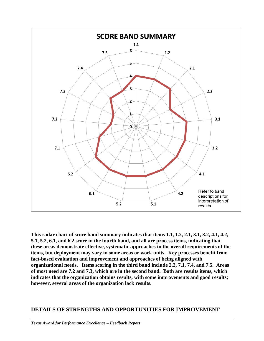

**This radar chart of score band summary indicates that items 1.1, 1.2, 2.1, 3.1, 3.2, 4.1, 4.2, 5.1, 5.2, 6.1, and 6.2 score in the fourth band, and all are process items, indicating that these areas demonstrate effective, systematic approaches to the overall requirements of the items, but deployment may vary in some areas or work units. Key processes benefit from fact-based evaluation and improvement and approaches of being aligned with organizational needs. Items scoring in the third band include 2.2, 7.1, 7.4, and 7.5. Areas of most need are 7.2 and 7.3, which are in the second band. Both are results items, which indicates that the organization obtains results, with some improvements and good results; however, several areas of the organization lack results.**

# **DETAILS OF STRENGTHS AND OPPORTUNITIES FOR IMPROVEMENT**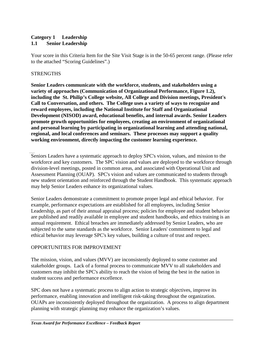# **Category 1 Leadership 1.1 Senior Leadership**

Your score in this Criteria Item for the Site Visit Stage is in the 50-65 percent range. (Please refer to the attached "Scoring Guidelines".)

# **STRENGTHS**

**Senior Leaders communicate with the workforce, students, and stakeholders using a variety of approaches (Communication of Organizational Performance, Figure 1.2), including the St. Philip's College website, All College and Division meetings, President's Call to Conversation, and others. The College uses a variety of ways to recognize and reward employees, including the National Institute for Staff and Organizational Development (NISOD) award, educational benefits, and internal awards. Senior Leaders promote growth opportunities for employees, creating an environment of organizational and personal learning by participating in organizational learning and attending national, regional, and local conferences and seminars. These processes may support a quality working environment, directly impacting the customer learning experience.**

Seniors Leaders have a systematic approach to deploy SPC's vision, values, and mission to the workforce and key customers. The SPC vision and values are deployed to the workforce through division-level meetings, posted in common areas, and associated with Operational Unit and Assessment Planning (OUAP). SPC's vision and values are communicated to students through new student orientation and reinforced through the Student Handbook. This systematic approach may help Senior Leaders enhance its organizational values.

Senior Leaders demonstrate a commitment to promote proper legal and ethical behavior. For example, performance expectations are established for all employees, including Senior Leadership, as part of their annual appraisal process; policies for employee and student behavior are published and readily available in employee and student handbooks, and ethics training is an annual requirement. Ethical breaches are immediately addressed by Senior Leaders, who are subjected to the same standards as the workforce. Senior Leaders' commitment to legal and ethical behavior may leverage SPC's key values, building a culture of trust and respect.

# OPPORTUNITIES FOR IMPROVEMENT

The mission, vision, and values (MVV) are inconsistently deployed to some customer and stakeholder groups. Lack of a formal process to communicate MVV to all stakeholders and customers may inhibit the SPC's ability to reach the vision of being the best in the nation in student success and performance excellence.

SPC does not have a systematic process to align action to strategic objectives, improve its performance, enabling innovation and intelligent risk-taking throughout the organization. OUAPs are inconsistently deployed throughout the organization. A process to align department planning with strategic planning may enhance the organization's values.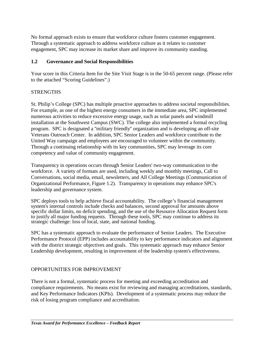No formal approach exists to ensure that workforce culture fosters customer engagement. Through a systematic approach to address workforce culture as it relates to customer engagement, SPC may increase its market share and improve its community standing.

# **1.2 Governance and Social Responsibilities**

Your score in this Criteria Item for the Site Visit Stage is in the 50-65 percent range. (Please refer to the attached "Scoring Guidelines".)

# **STRENGTHS**

St. Philip's College (SPC) has multiple proactive approaches to address societal responsibilities. For example, as one of the highest energy consumers in the immediate area, SPC implemented numerous activities to reduce excessive energy usage, such as solar panels and windmill installation at the Southwest Campus (SWC). The college also implemented a formal recycling program. SPC is designated a ''military friendly'' organization and is developing an off-site Veterans Outreach Center. In addition, SPC Senior Leaders and workforce contribute to the United Way campaign and employees are encouraged to volunteer within the community. Through a continuing relationship with its key communities, SPC may leverage its core competency and value of community engagement.

Transparency in operations occurs through Senior Leaders' two-way communication to the workforce. A variety of formats are used, including weekly and monthly meetings, Call to Conversations, social media, email, newsletters, and All College Meetings (Communication of Organizational Performance, Figure 1.2). Transparency in operations may enhance SPC's leadership and governance system.

SPC deploys tools to help achieve fiscal accountability. The college's financial management system's internal controls include checks and balances, second approval for amounts above specific dollar limits, no deficit spending, and the use of the Resource Allocation Request form to justify all major funding requests. Through these tools, SPC may continue to address its strategic challenge: loss of local, state, and national funding.

SPC has a systematic approach to evaluate the performance of Senior Leaders. The Executive Performance Protocol (EPP) includes accountability to key performance indicators and alignment with the district strategic objectives and goals. This systematic approach may enhance Senior Leadership development, resulting in improvement of the leadership system's effectiveness.

# OPPORTUNITIES FOR IMPROVEMENT

There is not a formal, systematic process for meeting and exceeding accreditation and compliance requirements. No means exist for reviewing and managing accreditations, standards, and Key Performance Indicators (KPIs). Development of a systematic process may reduce the risk of losing program compliance and accreditation.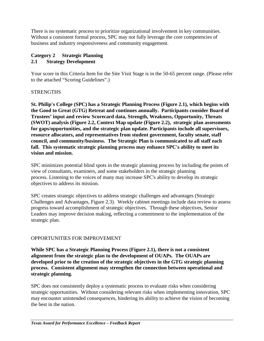There is no systematic process to prioritize organizational involvement in key communities. Without a consistent formal process, SPC may not fully leverage the core competencies of business and industry responsiveness and community engagement.

# **Category 2 Strategic Planning 2.1 Strategy Development**

Your score in this Criteria Item for the Site Visit Stage is in the 50-65 percent range. (Please refer to the attached "Scoring Guidelines".)

# **STRENGTHS**

**St. Philip's College (SPC) has a Strategic Planning Process (Figure 2.1), which begins with the Good to Great (GTG) Retreat and continues annually. Participants consider Board of Trustees' input and review Scorecard data, Strength, Weakness, Opportunity, Threats (SWOT) analysis (Figure 2.2, Context Map update (Figure 2.2), strategic plan assessments for gaps/opportunities, and the strategic plan update. Participants include all supervisors, resource allocators, and representatives from student government, faculty senate, staff council, and community/business. The Strategic Plan is communicated to all staff each fall. This systematic strategic planning process may enhance SPC's ability to meet its vision and mission.**

SPC minimizes potential blind spots in the strategic planning process by including the points of view of consultants, examiners, and some stakeholders in the strategic planning process. Listening to the voices of many may increase SPC's ability to develop its strategic objectives to address its mission.

SPC creates strategic objectives to address strategic challenges and advantages (Strategic Challenges and Advantages, Figure 2.3). Weekly cabinet meetings include data review to assess progress toward accomplishment of strategic objectives. Through these objectives, Senior Leaders may improve decision making, reflecting a commitment to the implementation of the strategic plan.

# OPPORTUNITIES FOR IMPROVEMENT

**While SPC has a Strategic Planning Process (Figure 2.1), there is not a consistent alignment from the strategic plan to the development of OUAPs. The OUAPs are developed prior to the creation of the strategic objectives in the GTG strategic planning process. Consistent alignment may strengthen the connection between operational and strategic planning.**

SPC does not consistently deploy a systematic process to evaluate risks when considering strategic opportunities. Without considering relevant risks when implementing innovation, SPC may encounter unintended consequences, hindering its ability to achieve the vision of becoming the best in the nation.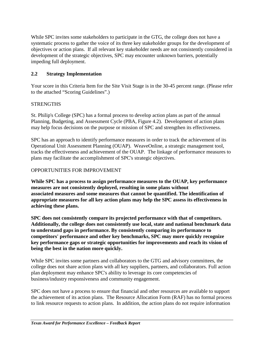While SPC invites some stakeholders to participate in the GTG, the college does not have a systematic process to gather the voice of its three key stakeholder groups for the development of objectives or action plans. If all relevant key stakeholder needs are not consistently considered in development of the strategic objectives, SPC may encounter unknown barriers, potentially impeding full deployment.

# **2.2 Strategy Implementation**

Your score in this Criteria Item for the Site Visit Stage is in the 30-45 percent range. (Please refer to the attached "Scoring Guidelines".)

# **STRENGTHS**

St. Philip's College (SPC) has a formal process to develop action plans as part of the annual Planning, Budgeting, and Assessment Cycle (PBA, Figure 4.2). Development of action plans may help focus decisions on the purpose or mission of SPC and strengthen its effectiveness.

SPC has an approach to identify performance measures in order to track the achievement of its Operational Unit Assessment Planning (OUAP). WeaveOnline, a strategic management tool, tracks the effectiveness and achievement of the OUAP. The linkage of performance measures to plans may facilitate the accomplishment of SPC's strategic objectives.

# OPPORTUNITIES FOR IMPROVEMENT

**While SPC has a process to assign performance measures to the OUAP, key performance measures are not consistently deployed, resulting in some plans without associated measures and some measures that cannot be quantified. The identification of appropriate measures for all key action plans may help the SPC assess its effectiveness in achieving these plans.**

**SPC does not consistently compare its projected performance with that of competitors. Additionally, the college does not consistently use local, state and national benchmark data to understand gaps in performance. By consistently comparing its performance to competitors' performance and other key benchmarks, SPC may more quickly recognize key performance gaps or strategic opportunities for improvements and reach its vision of being the best in the nation more quickly.**

While SPC invites some partners and collaborators to the GTG and advisory committees, the college does not share action plans with all key suppliers, partners, and collaborators. Full action plan deployment may enhance SPC's ability to leverage its core competencies of business/industry responsiveness and community engagement.

SPC does not have a process to ensure that financial and other resources are available to support the achievement of its action plans. The Resource Allocation Form (RAF) has no formal process to link resource requests to action plans. In addition, the action plans do not require information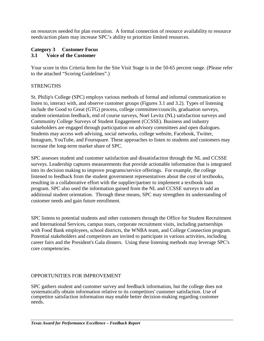on resources needed for plan execution. A formal connection of resource availability to resource needs/action plans may increase SPC's ability to prioritize limited resources.

# **Category 3 Customer Focus 3.1 Voice of the Customer**

Your score in this Criteria Item for the Site Visit Stage is in the 50-65 percent range. (Please refer to the attached "Scoring Guidelines".)

# **STRENGTHS**

St. Philip's College (SPC) employs various methods of formal and informal communication to listen to, interact with, and observe customer groups (Figures 3.1 and 3.2). Types of listening include the Good to Great (GTG) process, college committee/councils, graduation surveys, student orientation feedback, end of course surveys, Noel Levitz (NL) satisfaction surveys and Community College Surveys of Student Engagement (CCSSE). Business and industry stakeholders are engaged through participation on advisory committees and open dialogues. Students may access web advising, social networks, college website, Facebook, Twitter, Instagram, YouTube, and Foursquare. These approaches to listen to students and customers may increase the long-term market share of SPC.

SPC assesses student and customer satisfaction and dissatisfaction through the NL and CCSSE surveys. Leadership captures measurements that provide actionable information that is integrated into its decision making to improve programs/service offerings. For example, the college listened to feedback from the student government representatives about the cost of textbooks, resulting in a collaborative effort with the supplier/partner to implement a textbook loan program. SPC also used the information gained from the NL and CCSSE surveys to add an additional student orientation. Through these means, SPC may strengthen its understanding of customer needs and gain future enrollment.

SPC listens to potential students and other customers through the Office for Student Recruitment and International Services, campus tours, corporate recruitment visits, including partnerships with Food Bank employees, school districts, the WNBA team, and College Connection program. Potential stakeholders and competitors are invited to participate in various activities, including career fairs and the President's Gala dinners. Using these listening methods may leverage SPC's core competencies.

# OPPORTUNITIES FOR IMPROVEMENT

SPC gathers student and customer survey and feedback information, but the college does not systematically obtain information relative to its competitors' customer satisfaction. Use of competitor satisfaction information may enable better decision-making regarding customer needs.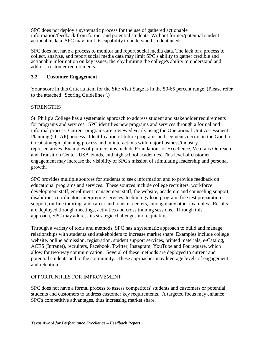SPC does not deploy a systematic process for the use of gathered actionable information/feedback from former and potential students. Without former/potential student actionable data, SPC may limit its capability to understand student needs.

SPC does not have a process to monitor and report social media data. The lack of a process to collect, analyze, and report social media data may limit SPC's ability to gather credible and actionable information on key issues, thereby limiting the college's ability to understand and address customer requirements.

# **3.2 Customer Engagement**

Your score in this Criteria Item for the Site Visit Stage is in the 50-65 percent range. (Please refer to the attached "Scoring Guidelines".)

# **STRENGTHS**

St. Philip's College has a systematic approach to address student and stakeholder requirements for programs and services. SPC identifies new programs and services through a formal and informal process. Current programs are reviewed yearly using the Operational Unit Assessment Planning (OUAP) process. Identification of future programs and segments occurs in the Good to Great strategic planning process and in interactions with major business/industry representatives. Examples of partnerships include Foundations of Excellence, Veterans Outreach and Transition Center, USA Funds, and high school academies. This level of customer engagement may increase the visibility of SPC's mission of stimulating leadership and personal growth.

SPC provides multiple sources for students to seek information and to provide feedback on educational programs and services. These sources include college recruiters, workforce development staff, enrollment management staff, the website, academic and counseling support, disabilities coordinator, interpreting services, technology loan program, free test preparation support, on-line tutoring, and career and transfer centers, among many other examples. Results are deployed through meetings, activities and cross training sessions. Through this approach, SPC may address its strategic challenges more quickly.

Through a variety of tools and methods, SPC has a systematic approach to build and manage relationships with students and stakeholders to increase market share. Examples include college website, online admission, registration, student support services, printed materials, e-Catalog, ACES (Intranet), recruiters, Facebook, Twitter, Instagram, YouTube and Foursquare, which allow for two-way communication. Several of these methods are deployed to current and potential students and to the community. These approaches may leverage levels of engagement and retention.

# OPPORTUNITIES FOR IMPROVEMENT

SPC does not have a formal process to assess competitors' students and customers or potential students and customers to address customer key requirements. A targeted focus may enhance SPC's competitive advantages, thus increasing market share.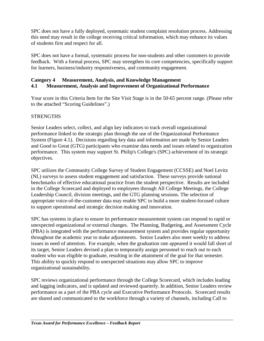SPC does not have a fully deployed, systematic student complaint resolution process. Addressing this need may result in the college receiving critical information, which may enhance its values of students first and respect for all.

SPC does not have a formal, systematic process for non-students and other customers to provide feedback. With a formal process, SPC may strengthen its core competencies, specifically support for learners, business/industry responsiveness, and community engagement.

# **Category 4 Measurement, Analysis, and Knowledge Management 4.1 Measurement, Analysis and Improvement of Organizational Performance**

Your score in this Criteria Item for the Site Visit Stage is in the 50-65 percent range. (Please refer to the attached "Scoring Guidelines".)

# **STRENGTHS**

Senior Leaders select, collect, and align key indicators to track overall organizational performance linked to the strategic plan through the use of the Organizational Performance System (Figure 4.1). Decisions regarding key data and information are made by Senior Leaders and Good to Great (GTG) participants who examine data needs and issues related to organization performance. This system may support St. Philip's College's (SPC) achievement of its strategic objectives.

SPC utilizes the Community College Survey of Student Engagement (CCSSE) and Noel Levitz (NL) surveys to assess student engagement and satisfaction. These surveys provide national benchmarks of effective educational practice from the student perspective. Results are included in the College Scorecard and deployed to employees through All College Meetings, the College Leadership Council, division meetings, and the GTG planning sessions. The selection of appropriate voice-of-the-customer data may enable SPC to build a more student-focused culture to support operational and strategic decision making and innovation.

SPC has systems in place to ensure its performance measurement system can respond to rapid or unexpected organizational or external changes. The Planning, Budgeting, and Assessment Cycle (PBA) is integrated with the performance measurement system and provides regular opportunity throughout the academic year to make adjustments. Senior Leaders also meet weekly to address issues in need of attention. For example, when the graduation rate appeared it would fall short of its target, Senior Leaders devised a plan to temporarily assign personnel to reach out to each student who was eligible to graduate, resulting in the attainment of the goal for that semester. This ability to quickly respond to unexpected situations may allow SPC to improve organizational sustainability.

SPC reviews organizational performance through the College Scorecard, which includes leading and lagging indicators, and is updated and reviewed quarterly. In addition, Senior Leaders review performance as a part of the PBA cycle and Executive Performance Protocols. Scorecard results are shared and communicated to the workforce through a variety of channels, including Call to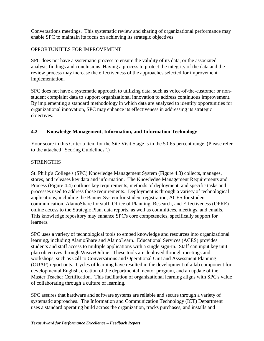Conversations meetings. This systematic review and sharing of organizational performance may enable SPC to maintain its focus on achieving its strategic objectives.

# OPPORTUNITIES FOR IMPROVEMENT

SPC does not have a systematic process to ensure the validity of its data, or the associated analysis findings and conclusions. Having a process to protect the integrity of the data and the review process may increase the effectiveness of the approaches selected for improvement implementation.

SPC does not have a systematic approach to utilizing data, such as voice-of-the-customer or nonstudent complaint data to support organizational innovation to address continuous improvement. By implementing a standard methodology in which data are analyzed to identify opportunities for organizational innovation, SPC may enhance its effectiveness in addressing its strategic objectives.

# **4.2 Knowledge Management, Information, and Information Technology**

Your score in this Criteria Item for the Site Visit Stage is in the 50-65 percent range. (Please refer to the attached "Scoring Guidelines".)

# **STRENGTHS**

St. Philip's College's (SPC) Knowledge Management System (Figure 4.3) collects, manages, stores, and releases key data and information. The Knowledge Management Requirements and Process (Figure 4.4) outlines key requirements, methods of deployment, and specific tasks and processes used to address those requirements. Deployment is through a variety of technological applications, including the Banner System for student registration, ACES for student communication, AlamoShare for staff, Office of Planning, Research, and Effectiveness (OPRE) online access to the Strategic Plan, data reports, as well as committees, meetings, and emails. This knowledge repository may enhance SPC's core competencies, specifically support for learners.

SPC uses a variety of technological tools to embed knowledge and resources into organizational learning, including AlamoShare and AlamoLearn. Educational Services (ACES) provides students and staff access to multiple applications with a single sign-in. Staff can input key unit plan objectives through WeaveOnline. These tools are deployed through meetings and workshops, such as Call to Conversations and Operational Unit and Assessment Planning (OUAP) report outs. Cycles of learning have resulted in the development of a lab component for developmental English, creation of the departmental mentor program, and an update of the Master Teacher Certification. This facilitation of organizational learning aligns with SPC's value of collaborating through a culture of learning.

SPC assures that hardware and software systems are reliable and secure through a variety of systematic approaches. The Information and Communication Technology (ICT) Department uses a standard operating build across the organization, tracks purchases, and installs and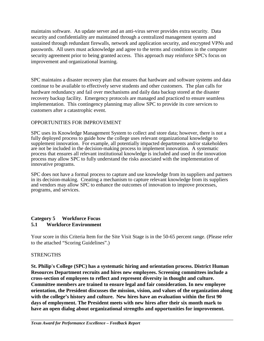maintains software. An update server and an anti-virus server provides extra security. Data security and confidentiality are maintained through a centralized management system and sustained through redundant firewalls, network and application security, and encrypted VPNs and passwords. All users must acknowledge and agree to the terms and conditions in the computer security agreement prior to being granted access. This approach may reinforce SPC's focus on improvement and organizational learning.

SPC maintains a disaster recovery plan that ensures that hardware and software systems and data continue to be available to effectively serve students and other customers. The plan calls for hardware redundancy and fail over mechanisms and daily data backup stored at the disaster recovery backup facility. Emergency protocols are managed and practiced to ensure seamless implementation. This contingency planning may allow SPC to provide its core services to customers after a catastrophic event.

#### OPPORTUNITIES FOR IMPROVEMENT

SPC uses its Knowledge Management System to collect and store data; however, there is not a fully deployed process to guide how the college uses relevant organizational knowledge to supplement innovation. For example, all potentially impacted departments and/or stakeholders are not be included in the decision-making process to implement innovation. A systematic process that ensures all relevant institutional knowledge is included and used in the innovation process may allow SPC to fully understand the risks associated with the implementation of innovative programs.

SPC does not have a formal process to capture and use knowledge from its suppliers and partners in its decision-making. Creating a mechanism to capture relevant knowledge from its suppliers and vendors may allow SPC to enhance the outcomes of innovation to improve processes, programs, and services.

#### **Category 5 Workforce Focus 5.1 Workforce Environment**

Your score in this Criteria Item for the Site Visit Stage is in the 50-65 percent range. (Please refer to the attached "Scoring Guidelines".)

#### **STRENGTHS**

**St. Philip's College (SPC) has a systematic hiring and orientation process. District Human Resources Department recruits and hires new employees. Screening committees include a cross-section of employees to reflect and represent diversity in thought and culture. Committee members are trained to ensure legal and fair consideration. In new employee orientation, the President discusses the mission, vision, and values of the organization along with the college's history and culture. New hires have an evaluation within the first 90 days of employment. The President meets with new hires after their six month mark to have an open dialog about organizational strengths and opportunities for improvement.**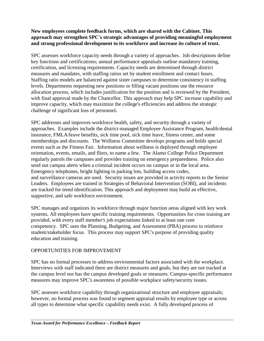# **New employees complete feedback forms, which are shared with the Cabinet. This approach may strengthen SPC's strategic advantages of providing meaningful employment and strong professional development to its workforce and increase its culture of trust.**

SPC assesses workforce capacity needs through a variety of approaches. Job descriptions define key functions and certifications; annual performance appraisals outline mandatory training, certification, and licensing requirements. Capacity needs are determined through district measures and mandates, with staffing ratios set by student enrollment and contact hours. Staffing ratio models are balanced against sister campuses to determine consistency in staffing levels. Departments requesting new positions or filling vacant positions use the resource allocation process, which includes justification for the position and is reviewed by the President, with final approval made by the Chancellor. This approach may help SPC increase capability and improve capacity, which may maximize the college's efficiencies and address the strategic challenge of significant loss of personnel**.**

SPC addresses and improves workforce health, safety, and security through a variety of approaches. Examples include the district-managed Employee Assistance Program, health/dental insurance, FMLA/leave benefits, sick time pool, sick time leave, fitness center, and some memberships and discounts. The Wellness Committee develops programs and holds special events such as the Fitness Fair. Information about wellness is deployed through employee orientation, events, emails, and fliers, to name a few. The Alamo College Police Department regularly patrols the campuses and provides training on emergency preparedness. Police also send out campus alerts when a criminal incident occurs on campus or in the local area. Emergency telephones, bright lighting in parking lots, building access codes, and surveillance cameras are used. Security issues are provided in activity reports to the Senior Leaders. Employees are trained in Strategies of Behavioral Intervention (SOBI), and incidents are tracked for trend identification. This approach and deployment may build an effective, supportive, and safe workforce environment.

SPC manages and organizes its workforce through major function areas aligned with key work systems. All employees have specific training requirements. Opportunities for cross training are provided, with every staff member's job expectations linked to at least one core competency. SPC uses the Planning, Budgeting, and Assessment (PBA) process to reinforce student/stakeholder focus. This process may support SPC's purpose of providing quality education and training.

# OPPORTUNITIES FOR IMPROVEMENT

SPC has no formal processes to address environmental factors associated with the workplace. Interviews with staff indicated there are district measures and goals, but they are not tracked at the campus level nor has the campus developed goals or measures. Campus-specific performance measures may improve SPC's awareness of possible workplace safety/security issues.

SPC assesses workforce capability through organizational structure and employee appraisals; however, no formal process was found to segment appraisal results by employee type or across all types to determine what specific capability needs exist. A fully developed process of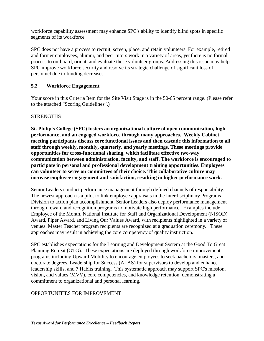workforce capability assessment may enhance SPC's ability to identify blind spots in specific segments of its workforce.

SPC does not have a process to recruit, screen, place, and retain volunteers. For example, retired and former employees, alumni, and peer tutors work in a variety of areas, yet there is no formal process to on-board, orient, and evaluate these volunteer groups. Addressing this issue may help SPC improve workforce security and resolve its strategic challenge of significant loss of personnel due to funding decreases.

# **5.2 Workforce Engagement**

Your score in this Criteria Item for the Site Visit Stage is in the 50-65 percent range. (Please refer to the attached "Scoring Guidelines".)

# **STRENGTHS**

**St. Philip's College (SPC) fosters an organizational culture of open communication, high performance, and an engaged workforce through many approaches. Weekly Cabinet meeting participants discuss core functional issues and then cascade this information to all staff through weekly, monthly, quarterly, and yearly meetings. These meetings provide opportunities for cross-functional sharing, which facilitate effective two-way communication between administration, faculty, and staff. The workforce is encouraged to participate in personal and professional development training opportunities. Employees can volunteer to serve on committees of their choice. This collaborative culture may increase employee engagement and satisfaction, resulting in higher performance work.**

Senior Leaders conduct performance management through defined channels of responsibility. The newest approach is a pilot to link employee appraisals in the Interdisciplinary Programs Division to action plan accomplishment. Senior Leaders also deploy performance management through reward and recognition programs to motivate high performance. Examples include Employee of the Month, National Institute for Staff and Organizational Development (NISOD) Award, Piper Award, and Living Our Values Award, with recipients highlighted in a variety of venues. Master Teacher program recipients are recognized at a graduation ceremony. These approaches may result in achieving the core competency of quality instruction.

SPC establishes expectations for the Learning and Development System at the Good To Great Planning Retreat (GTG). These expectations are deployed through workforce improvement programs including Upward Mobility to encourage employees to seek bachelors, masters, and doctorate degrees, Leadership for Success (ALAS) for supervisors to develop and enhance leadership skills, and 7 Habits training. This systematic approach may support SPC's mission, vision, and values (MVV), core competencies, and knowledge retention, demonstrating a commitment to organizational and personal learning.

# OPPORTUNITIES FOR IMPROVEMENT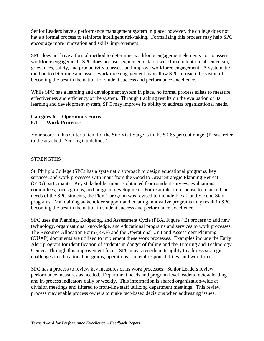Senior Leaders have a performance management system in place; however, the college does not have a formal process to reinforce intelligent risk-taking. Formalizing this process may help SPC encourage more innovation and skills' improvement.

SPC does not have a formal method to determine workforce engagement elements nor to assess workforce engagement. SPC does not use segmented data on workforce retention, absenteeism, grievances, safety, and productivity to assess and improve workforce engagement. A systematic method to determine and assess workforce engagement may allow SPC to reach the vision of becoming the best in the nation for student success and performance excellence.

While SPC has a learning and development system in place, no formal process exists to measure effectiveness and efficiency of the system. Through tracking results on the evaluation of its learning and development system, SPC may improve its ability to address organizational needs.

# **Category 6 Operations Focus 6.1 Work Processes**

Your score in this Criteria Item for the Site Visit Stage is in the 50-65 percent range. (Please refer to the attached "Scoring Guidelines".)

# **STRENGTHS**

St. Philip's College (SPC) has a systematic approach to design educational programs, key services, and work processes with input from the Good to Great Strategic Planning Retreat (GTG) participants. Key stakeholder input is obtained from student surveys, evaluations, committees, focus groups, and program development. For example, in response to financial aid needs of the SPC students, the Flex 1 program was revised to include Flex 2 and Second Start programs. Maintaining stakeholder support and creating innovative programs may result in SPC becoming the best in the nation in student success and performance excellence.

SPC uses the Planning, Budgeting, and Assessment Cycle (PBA, Figure 4.2) process to add new technology, organizational knowledge, and educational programs and services to work processes. The Resource Allocation Form (RAF) and the Operational Unit and Assessment Planning (OUAP) documents are utilized to implement these work processes. Examples include the Early Alert program for identification of students in danger of failing and the Tutoring and Technology Center. Through this improvement focus, SPC may strengthen its agility to address strategic challenges in educational programs, operations, societal responsibilities, and workforce.

SPC has a process to review key measures of its work processes. Senior Leaders review performance measures as needed. Department heads and program level leaders review leading and in-process indicators daily or weekly. This information is shared organization-wide at division meetings and filtered to front-line staff utilizing department meetings. This review process may enable process owners to make fact-based decisions when addressing issues.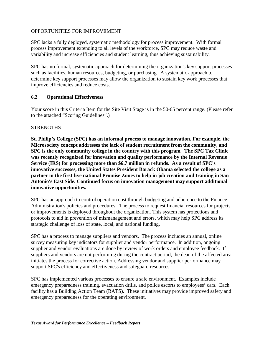# OPPORTUNITIES FOR IMPROVEMENT

SPC lacks a fully deployed, systematic methodology for process improvement. With formal process improvement extending to all levels of the workforce, SPC may reduce waste and variability and increase efficiencies and student learning, thus achieving sustainability.

SPC has no formal, systematic approach for determining the organization's key support processes such as facilities, human resources, budgeting, or purchasing. A systematic approach to determine key support processes may allow the organization to sustain key work processes that improve efficiencies and reduce costs.

#### **6.2 Operational Effectiveness**

Your score in this Criteria Item for the Site Visit Stage is in the 50-65 percent range. (Please refer to the attached "Scoring Guidelines".)

#### **STRENGTHS**

**St. Philip's College (SPC) has an informal process to manage innovation. For example, the Microsociety concept addresses the lack of student recruitment from the community, and SPC is the only community college in the country with this program. The SPC Tax Clinic was recently recognized for innovation and quality performance by the Internal Revenue Service (IRS) for processing more than \$6.7 million in refunds. As a result of SPC's innovative successes, the United States President Barack Obama selected the college as a partner in the first five national Promise Zones to help in job creation and training in San Antonio's East Side. Continued focus on innovation management may support additional innovative opportunities.**

SPC has an approach to control operation cost through budgeting and adherence to the Finance Administration's policies and procedures. The process to request financial resources for projects or improvements is deployed throughout the organization. This system has protections and protocols to aid in prevention of mismanagement and errors, which may help SPC address its strategic challenge of loss of state, local, and national funding.

SPC has a process to manage suppliers and vendors. The process includes an annual, online survey measuring key indicators for supplier and vendor performance. In addition, ongoing supplier and vendor evaluations are done by review of work orders and employee feedback. If suppliers and vendors are not performing during the contract period, the dean of the affected area initiates the process for corrective action. Addressing vendor and supplier performance may support SPC's efficiency and effectiveness and safeguard resources.

SPC has implemented various processes to ensure a safe environment. Examples include emergency preparedness training, evacuation drills, and police escorts to employees' cars. Each facility has a Building Action Team (BATS). These initiatives may provide improved safety and emergency preparedness for the operating environment.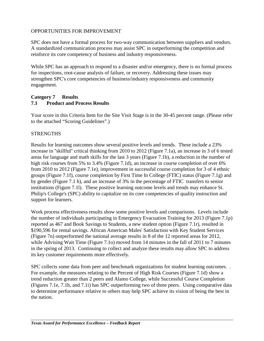# OPPORTUNITIES FOR IMPROVEMENT

SPC does not have a formal process for two-way communication between suppliers and vendors. A standardized communication process may assist SPC in outperforming the competition and reinforce its core competency of business and industry responsiveness.

While SPC has an approach to respond to a disaster and/or emergency, there is no formal process for inspections, root-cause analysis of failure, or recovery. Addressing these issues may strengthen SPC's core competencies of business/industry responsiveness and community engagement.

#### **Category 7 Results 7.1 Product and Process Results**

Your score in this Criteria Item for the Site Visit Stage is in the 30-45 percent range. (Please refer to the attached "Scoring Guidelines".)

# **STRENGTHS**

Results for learning outcomes show several positive levels and trends. These include a 23% increase in ''skillful'' critical thinking from 2010 to 2012 (Figure 7.1a), an increase in 3 of 6 tested areas for language and math skills for the last 3 years (Figure 7.1b), a reduction in the number of high risk courses from 5% to 3.4% (Figure 7.1d), an increase in course completion of over 6% from 2010 to 2012 (Figure 7.1e), improvement in successful course completion for 3 of 4 ethnic groups (Figure 7.1f), course completion by First Time In College (FTIC) status (Figure 7.1g) and by gender (Figure 7.1 h), and an increase of 3% in the percentage of FTIC transfers to senior institutions (Figure 7.1l). These positive learning outcome levels and trends may enhance St. Philip's College's (SPC) ability to capitalize on its core competencies of quality instruction and support for learners.

Work process effectiveness results show some positive levels and comparisons. Levels include the number of individuals participating in Emergency Evacuation Training for 2013 (Figure 7.1p) reported as 467 and Book Savings to Students, a new student option (Figure 7.1r), resulted in \$190,596 for rental savings. African American Males' Satisfaction with Key Student Services (Figure 7n) outperformed the national average results in 8 of the 12 reported areas for 2012, while Advising Wait Time (Figure 7.1o) moved from 14 minutes in the fall of 2011 to 7 minutes in the spring of 2013. Continuing to collect and analyze these results may allow SPC to address its key customer requirements more effectively.

SPC collects some data from peer and benchmark organizations for student learning outcomes. . For example, the measures relating to the Percent of High Risk Courses (Figure 7.1d) show a trend reduction greater than 2 peers and Alamo College, while Successful Course Completion (Figures 7.1e, 7.1h, and 7.1i) has SPC outperforming two of three peers. Using comparative data to determine performance relative to others may help SPC achieve its vision of being the best in the nation.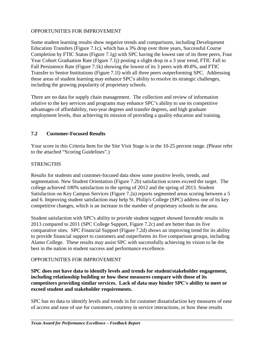# OPPORTUNITIES FOR IMPROVEMENT

Some student learning results show negative trends and comparisons, including Development Education Transfers (Figure 7.1c), which has a 3% drop over three years, Successful Course Completion by FTIC Status (Figure 7.1g) with SPC having the lowest rate of its three peers, Four Year Cohort Graduation Rate (Figure 7.1j) posting a slight drop in a 3 year trend, FTIC Fall to Fall Persistence Rate (Figure 7.1k) showing the lowest of its 3 peers with 49.8%, and FTIC Transfer to Senior Institutions (Figure 7.1l) with all three peers outperforming SPC. Addressing these areas of student learning may enhance SPC's ability to resolve its strategic challenges, including the growing popularity of proprietary schools.

There are no data for supply chain management. The collection and review of information relative to the key services and programs may enhance SPC's ability to use its competitive advantages of affordability, two-year degrees and transfer degrees, and high graduate employment levels, thus achieving its mission of providing a quality education and training.

# **7.2 Customer-Focused Results**

Your score in this Criteria Item for the Site Visit Stage is in the 10-25 percent range. (Please refer to the attached "Scoring Guidelines".)

# **STRENGTHS**

Results for students and customer-focused data show some positive levels, trends, and segmentation. New Student Orientation (Figure 7.2b) satisfaction scores exceed the target. The college achieved 100% satisfaction in the spring of 2012 and the spring of 2013. Student Satisfaction on Key Campus Services (Figure 7.2a) reports segmented areas scoring between a 5 and 6. Improving student satisfaction may help St. Philip's College (SPC) address one of its key competitive changes, which is an increase in the number of proprietary schools in the area.

Student satisfaction with SPC's ability to provide student support showed favorable results in 2013 compared to 2011 (SPC College Support, Figure 7.2c) and are better than its five comparative sites. SPC Financial Support (Figure 7.2d) shows an improving trend for its ability to provide financial support to customers and outperforms its five comparison groups, including Alamo College. These results may assist SPC with successfully achieving its vision to be the best in the nation in student success and performance excellence.

# OPPORTUNITIES FOR IMPROVEMENT

**SPC does not have data to identify levels and trends for student/stakeholder engagement, including relationship building or how these measures compare with those of its competitors providing similar services. Lack of data may hinder SPC's ability to meet or exceed student and stakeholder requirements.**

SPC has no data to identify levels and trends in for customer dissatisfaction key measures of ease of access and ease of use for customers, courtesy in service interactions, or how these results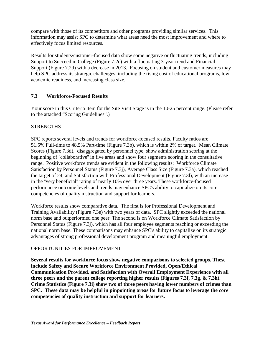compare with those of its competitors and other programs providing similar services. This information may assist SPC to determine what areas need the most improvement and where to effectively focus limited resources.

Results for students/customer-focused data show some negative or fluctuating trends, including Support to Succeed in College (Figure 7.2c) with a fluctuating 3-year trend and Financial Support (Figure 7.2d) with a decrease in 2013. Focusing on student and customer measures may help SPC address its strategic challenges, including the rising cost of educational programs, low academic readiness, and increasing class size.

# **7.3 Workforce-Focused Results**

Your score in this Criteria Item for the Site Visit Stage is in the 10-25 percent range. (Please refer to the attached "Scoring Guidelines".)

# **STRENGTHS**

SPC reports several levels and trends for workforce-focused results. Faculty ratios are 51.5% Full-time to 48.5% Part-time (Figure 7.3b), which is within 2% of target. Mean Climate Scores (Figure 7.3d), disaggregated by personnel type, show administration scoring at the beginning of ''collaborative'' in five areas and show four segments scoring in the consultative range. Positive workforce trends are evident in the following results: Workforce Climate Satisfaction by Personnel Status (Figure 7.3j), Average Class Size (Figure 7.3a), which reached the target of 24, and Satisfaction with Professional Development (Figure 7.3l), with an increase in the ''very beneficial'' rating of nearly 10% over three years. These workforce-focused performance outcome levels and trends may enhance SPC's ability to capitalize on its core competencies of quality instruction and support for learners.

Workforce results show comparative data. The first is for Professional Development and Training Availability (Figure 7.3e) with two years of data. SPC slightly exceeded the national norm base and outperformed one peer. The second is on Workforce Climate Satisfaction by Personnel Status (Figure 7.3j), which has all four employee segments reaching or exceeding the national norm base. These comparisons may enhance SPC's ability to capitalize on its strategic advantages of strong professional development program and meaningful employment.

# OPPORTUNITIES FOR IMPROVEMENT

**Several results for workforce focus show negative comparisons to selected groups. These include Safety and Secure Workforce Environment Provided, Open/Ethical Communication Provided, and Satisfaction with Overall Employment Experience with all three peers and the parent college reporting higher results (Figures 7.3f, 7.3g, & 7.3h). Crime Statistics (Figure 7.3i) show two of three peers having lower numbers of crimes than SPC. These data may be helpful in pinpointing areas for future focus to leverage the core competencies of quality instruction and support for learners.**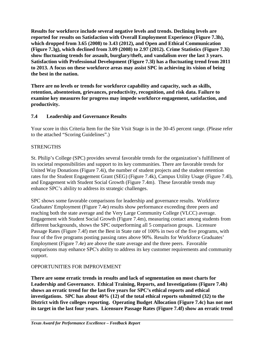**Results for workforce include several negative levels and trends. Declining levels are reported for results on Satisfaction with Overall Employment Experience (Figure 7.3h), which dropped from 3.65 (2008) to 3.43 (2012), and Open and Ethical Communication (Figure 7.3g), which declined from 3.09 (2008) to 2.97 (2012). Crime Statistics (Figure 7.3i) show fluctuating trends for assault, burglary/theft, and vandalism over the last 3 years. Satisfaction with Professional Development (Figure 7.3l) has a fluctuating trend from 2011 to 2013. A focus on these workforce areas may assist SPC in achieving its vision of being the best in the nation.**

**There are no levels or trends for workforce capability and capacity, such as skills, retention, absenteeism, grievances, productivity, recognition, and risk data. Failure to examine key measures for progress may impede workforce engagement, satisfaction, and productivity.**

# **7.4 Leadership and Governance Results**

Your score in this Criteria Item for the Site Visit Stage is in the 30-45 percent range. (Please refer to the attached "Scoring Guidelines".)

# **STRENGTHS**

St. Philip's College (SPC) provides several favorable trends for the organization's fulfillment of its societal responsibilities and support to its key communities. There are favorable trends for United Way Donations (Figure 7.4i), the number of student projects and the student retention rates for the Student Engagement Grant (SEG) (Figure 7.4k), Campus Utility Usage (Figure 7.4l), and Engagement with Student Social Growth (Figure 7.4m). These favorable trends may enhance SPC's ability to address its strategic challenges.

SPC shows some favorable comparisons for leadership and governance results. Workforce Graduates' Employment (Figure 7.4e) results show performance exceeding three peers and reaching both the state average and the Very Large Community College (VLCC) average. Engagement with Student Social Growth (Figure 7.4m), measuring contact among students from different backgrounds, shows the SPC outperforming all 5 comparison groups. Licensure Passage Rates (Figure 7.4f) met the Best in State rate of 100% in two of the five programs, with four of the five programs posting passing rates above 90%. Results for Workforce Graduates' Employment (Figure 7.4e) are above the state average and the three peers. Favorable comparisons may enhance SPC's ability to address its key customer requirements and community support.

# OPPORTUNITIES FOR IMPROVEMENT

**There are some erratic trends in results and lack of segmentation on most charts for Leadership and Governance. Ethical Training, Reports, and Investigations (Figure 7.4h) shows an erratic trend for the last five years for SPC's ethical reports and ethical investigations. SPC has about 40% (12) of the total ethical reports submitted (32) to the District with five colleges reporting. Operating Budget Allocation (Figure 7.4c) has not met its target in the last four years. Licensure Passage Rates (Figure 7.4f) show an erratic trend**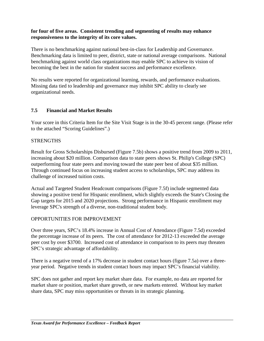#### **for four of five areas. Consistent trending and segmenting of results may enhance responsiveness to the integrity of its core values.**

There is no benchmarking against national best-in-class for Leadership and Governance. Benchmarking data is limited to peer, district, state or national average comparisons. National benchmarking against world class organizations may enable SPC to achieve its vision of becoming the best in the nation for student success and performance excellence.

No results were reported for organizational learning, rewards, and performance evaluations. Missing data tied to leadership and governance may inhibit SPC ability to clearly see organizational needs.

# **7.5 Financial and Market Results**

Your score in this Criteria Item for the Site Visit Stage is in the 30-45 percent range. (Please refer to the attached "Scoring Guidelines".)

#### **STRENGTHS**

Result for Gross Scholarships Disbursed (Figure 7.5b) shows a positive trend from 2009 to 2011, increasing about \$20 million. Comparison data to state peers shows St. Philip's College (SPC) outperforming four state peers and moving toward the state peer best of about \$35 million. Through continued focus on increasing student access to scholarships, SPC may address its challenge of increased tuition costs.

Actual and Targeted Student Headcount comparisons (Figure 7.5f) include segmented data showing a positive trend for Hispanic enrollment, which slightly exceeds the State's Closing the Gap targets for 2015 and 2020 projections. Strong performance in Hispanic enrollment may leverage SPC's strength of a diverse, non-traditional student body.

#### OPPORTUNITIES FOR IMPROVEMENT

Over three years, SPC's 18.4% increase in Annual Cost of Attendance (Figure 7.5d) exceeded the percentage increase of its peers. The cost of attendance for 2012-13 exceeded the average peer cost by over \$3700. Increased cost of attendance in comparison to its peers may threaten SPC's strategic advantage of affordability.

There is a negative trend of a 17% decrease in student contact hours (figure 7.5a) over a threeyear period. Negative trends in student contact hours may impact SPC's financial viability.

SPC does not gather and report key market share data. For example, no data are reported for market share or position, market share growth, or new markets entered. Without key market share data, SPC may miss opportunities or threats in its strategic planning.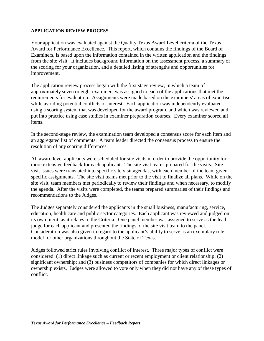#### **APPLICATION REVIEW PROCESS**

Your application was evaluated against the Quality Texas Award Level criteria of the Texas Award for Performance Excellence. This report, which contains the findings of the Board of Examiners, is based upon the information contained in the written application and the findings from the site visit. It includes background information on the assessment process, a summary of the scoring for your organization, and a detailed listing of strengths and opportunities for improvement.

The application review process began with the first stage review, in which a team of approximately seven or eight examiners was assigned to each of the applications that met the requirements for evaluation. Assignments were made based on the examiners' areas of expertise while avoiding potential conflicts of interest. Each application was independently evaluated using a scoring system that was developed for the award program, and which was reviewed and put into practice using case studies in examiner preparation courses. Every examiner scored all items.

In the second-stage review, the examination team developed a consensus score for each item and an aggregated list of comments. A team leader directed the consensus process to ensure the resolution of any scoring differences.

All award level applicants were scheduled for site visits in order to provide the opportunity for more extensive feedback for each applicant. The site visit teams prepared for the visits. Site visit issues were translated into specific site visit agendas, with each member of the team given specific assignments. The site visit teams met prior to the visit to finalize all plans. While on the site visit, team members met periodically to review their findings and when necessary, to modify the agenda. After the visits were completed, the teams prepared summaries of their findings and recommendations to the Judges.

The Judges separately considered the applicants in the small business, manufacturing, service, education, health care and public sector categories. Each applicant was reviewed and judged on its own merit, as it relates to the Criteria. One panel member was assigned to serve as the lead judge for each applicant and presented the findings of the site visit team to the panel. Consideration was also given in regard to the applicant's ability to serve as an exemplary role model for other organizations throughout the State of Texas.

Judges followed strict rules involving conflict of interest. Three major types of conflict were considered: (1) direct linkage such as current or recent employment or client relationship; (2) significant ownership; and (3) business competitors of companies for which direct linkages or ownership exists. Judges were allowed to vote only when they did not have any of these types of conflict.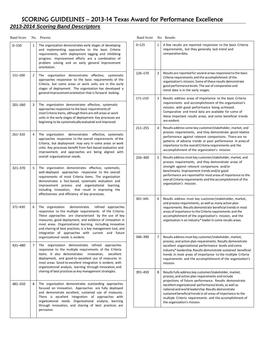# SCORING GUIDELINES – 2013-14 Texas Award for Performance Excellence

# *2013-2014 Scoring Band Descriptors*

| <b>Band Score</b> | No. | Process                                                                                                                                                                                                                                                                                                                                                                                                                                                         |
|-------------------|-----|-----------------------------------------------------------------------------------------------------------------------------------------------------------------------------------------------------------------------------------------------------------------------------------------------------------------------------------------------------------------------------------------------------------------------------------------------------------------|
| $0 - 150$         | 1   | The organization demonstrates early stages of developing<br>and implementing approaches to the basic Criteria<br>requirements, with deployment lagging and inhibiting<br>progress. Improvement efforts are a combination of<br>problem solving and an early general improvement<br>orientation.                                                                                                                                                                 |
| 151-200           | 2   | The<br>organization demonstrates effective,<br>systematic<br>approaches responsive to the basic requirements of the<br>Criteria, but some areas or work units are in the early<br>stages of deployment. The organization has developed a<br>general improvement orientation that is forward-looking.                                                                                                                                                            |
| $201 - 260$       | 3   | The organization demonstrates effective, systematic<br>approaches responsive to the basic requirements of<br>most Criteria items, although there are still areas or work<br>units in the early stages of deployment. Key processes are<br>beginning to be systematically evaluated and improved.                                                                                                                                                                |
| 261-320           | 4   | The organization<br>demonstrates<br>effective, systematic<br>approaches responsive to the overall requirements of the<br>Criteria, but deployment may vary in some areas or work<br>units. Key processes benefit from fact-based evaluation and<br>improvement, and approaches are being aligned with<br>overall organizational needs.                                                                                                                          |
| 321-370           | 5   | The organization demonstrates effective, systematic,<br>well-deployed approaches responsive to the overall<br>requirements of most Criteria items. The organization<br>demonstrates a fact-based, systematic evaluation and<br>and organizational<br>improvement process<br>learning,<br>that result in improving the<br>including innovation,<br>effectiveness and efficiency of key processes.                                                                |
| 371-430           | 6   | demonstrates<br>The organization<br>refined approaches<br>responsive to the multiple requirements of the Criteria.<br>These approaches are characterized by the use of key<br>measures, good deployment, and evidence of innovation in<br>most areas. Organizational learning, including innovation<br>and sharing of best practices, is a key management tool, and<br>integration of approaches with current and<br>future<br>organizational needs is evident. |
| 431-480           | 7   | organization demonstrates refined<br>The<br>approaches<br>responsive to the multiple requirements of the Criteria<br>items. It also demonstrates<br>innovation,<br>excellent<br>deployment, and good-to-excellent use of measures in<br>most areas. Good-to-excellent integration is evident, with<br>organizational analysis, learning through innovation, and<br>sharing of best practices as key management strategies.                                      |
| 481-550           | 8   | The organization demonstrates outstanding approaches<br>focused on innovation. Approaches are fully deployed<br>and demonstrate excellent, sustained use of measures.<br>is excellent integration of approaches with<br>There<br>organizational needs. Organizational analysis, learning<br>through innovation, and sharing of best practices are<br>pervasive.                                                                                                 |

| <b>Band Score</b> |              | No. Results                                                                                                                                                                                                                                                                                                                                                                                                                                         |
|-------------------|--------------|-----------------------------------------------------------------------------------------------------------------------------------------------------------------------------------------------------------------------------------------------------------------------------------------------------------------------------------------------------------------------------------------------------------------------------------------------------|
| $0 - 125$         | $\mathbf{1}$ | A few results are reported responsive to the basic Criteria<br>requirements, but they generally lack trend and<br>comparative data.                                                                                                                                                                                                                                                                                                                 |
| 126-170           | 2            | Results are reported for several areas responsive to the basic<br>Criteria requirements and the accomplishment of the<br>organization's mission. Some of these results demonstrate<br>good performance levels. The use of comparative and<br>trend data is in the early stages.                                                                                                                                                                     |
| 171-210           | 3            | Results address areas of importance to the basic Criteria<br>requirements and accomplishment of the organization's<br>mission, with good performance being achieved.<br>Comparative and trend data are available for some of<br>these important results areas, and some beneficial trends<br>are evident.                                                                                                                                           |
| $211 - 255$       | 4            | Results address some key customer/stakeholder, market, and<br>process requirements, and they demonstrate good relative<br>performance against relevant comparisons. There are no<br>patterns of adverse trends or poor performance in areas of<br>importance to the overall Criteria requirements and the<br>accomplishment of the organization's mission.                                                                                          |
| 256-300           | 5.           | Results address most key customer/stakeholder, market, and<br>process requirements, and they demonstrate areas of<br>strength against relevant comparisons and/or<br>benchmarks. Improvement trends and/or good<br>performance are reported for most areas of importance to the<br>overall Criteria requirements and the accomplishment of the<br>organization's mission.                                                                           |
| 301-345           | 6            | Results address most key customer/stakeholder, market,<br>and process requirements, as well as many action plan<br>requirements. Results demonstrate beneficial trends in most<br>areas of importance to the Criteria requirements and the<br>accomplishment of the organization's mission, and the<br>organization is an industry* leader in some results areas.                                                                                   |
| 346-390           | 7            | Results address most key customer/stakeholder, market,<br>process, and action plan requirements. Results demonstrate<br>excellent organizational performance levels and some<br>industry* leadership. Results demonstrate sustained beneficial<br>trends in most areas of importance to the multiple Criteria<br>requirements and the accomplishment of the organization's<br>mission.                                                              |
| 391-450           | 8            | Results fully address key customer/stakeholder, market,<br>process, and action plan requirements and include<br>projections of future performance. Results demonstrate<br>excellent organizational performance levels, as well as<br>national and world leadership. Results demonstrate<br>sustained beneficial trends in all areas of importance to the<br>multiple Criteria requirements and the accomplishment of<br>the organization's mission. |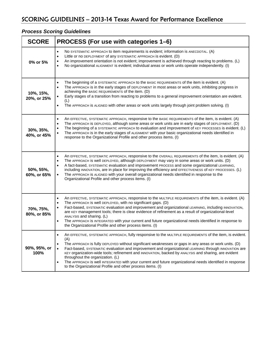# *Process Scoring Guidelines*

| <b>SCORE</b>             | PROCESS (For use with categories 1–6)                                                                                                                                                                                                                                                                                                                                                                                                                                                                                                                                                                                                                                            |
|--------------------------|----------------------------------------------------------------------------------------------------------------------------------------------------------------------------------------------------------------------------------------------------------------------------------------------------------------------------------------------------------------------------------------------------------------------------------------------------------------------------------------------------------------------------------------------------------------------------------------------------------------------------------------------------------------------------------|
| 0% or 5%                 | No SYSTEMATIC APPROACH to item requirements is evident; information is ANECDOTAL. (A)<br>$\bullet$<br>Little or no DEPLOYMENT of any SYSTEMATIC APPROACH is evident. (D)<br>$\bullet$<br>An improvement orientation is not evident; improvement is achieved through reacting to problems. (L)<br>$\bullet$<br>No organizational ALIGNMENT is evident; individual areas or work units operate independently. (I)<br>$\bullet$                                                                                                                                                                                                                                                     |
| 10%, 15%,<br>20%, or 25% | The beginning of a SYSTEMATIC APPROACH to the BASIC REQUIREMENTS of the item is evident. (A)<br>$\bullet$<br>The APPROACH is in the early stages of DEPLOYMENT in most areas or work units, inhibiting progress in<br>$\bullet$<br>achieving the BASIC REQUIREMENTS of the item. (D)<br>Early stages of a transition from reacting to problems to a general improvement orientation are evident.<br>(L)<br>The APPROACH is ALIGNED with other areas or work units largely through joint problem solving. (I)<br>$\bullet$                                                                                                                                                        |
| 30%, 35%,<br>40%, or 45% | An EFFECTIVE, SYSTEMATIC APPROACH, responsive to the BASIC REQUIREMENTS of the item, is evident. (A)<br>$\bullet$<br>The APPROACH is DEPLOYED, although some areas or work units are in early stages of DEPLOYMENT. (D)<br>$\bullet$<br>The beginning of a SYSTEMATIC APPROACH to evaluation and improvement of KEY PROCESSES is evident. (L)<br>$\bullet$<br>The APPROACH is in the early stages of ALIGNMENT with your basic organizational needs identified in<br>$\bullet$<br>response to the Organizational Profile and other process items. (I)                                                                                                                            |
| 50%, 55%,<br>60%, or 65% | An EFFECTIVE, SYSTEMATIC APPROACH, responsive to the OVERALL REQUIREMENTS of the item, is evident. (A)<br>$\bullet$<br>The APPROACH is well DEPLOYED, although DEPLOYMENT may vary in some areas or work units. (D)<br>$\bullet$<br>A fact-based, SYSTEMATIC evaluation and improvement PROCESS and some organizational LEARNING,<br>including INNOVATION, are in place for improving the efficiency and EFFECTIVENESS of KEY PROCESSES. (L)<br>The APPROACH is ALIGNED with your overall organizational needs identified in response to the<br>$\bullet$<br>Organizational Profile and other process items. (I)                                                                 |
| 70%, 75%,<br>80%, or 85% | An EFFECTIVE, SYSTEMATIC APPROACH, responsive to the MULTIPLE REQUIREMENTS of the item, is evident. (A)<br>$\bullet$<br>The APPROACH is well DEPLOYED, with no significant gaps. (D)<br>$\bullet$<br>Fact-based, SYSTEMATIC evaluation and improvement and organizational LEARNING, including INNOVATION,<br>are KEY management tools; there is clear evidence of refinement as a result of organizational-level<br>ANALYSIS and sharing. (L)<br>The APPROACH is INTEGRATED with your current and future organizational needs identified in response to<br>$\bullet$<br>the Organizational Profile and other process items. (I)                                                  |
| 90%, 95%, or<br>100%     | An EFFECTIVE, SYSTEMATIC APPROACH, fully responsive to the MULTIPLE REQUIREMENTS of the item, is evident.<br>(A)<br>The APPROACH is fully DEPLOYED without significant weaknesses or gaps in any areas or work units. (D)<br>$\bullet$<br>Fact-based, SYSTEMATIC evaluation and improvement and organizational LEARNING through INNOVATION are<br>KEY organization-wide tools; refinement and INNOVATION, backed by ANALYSIS and sharing, are evident<br>throughout the organization. (L)<br>The APPROACH is well INTEGRATED with your current and future organizational needs identified in response<br>$\bullet$<br>to the Organizational Profile and other process items. (I) |